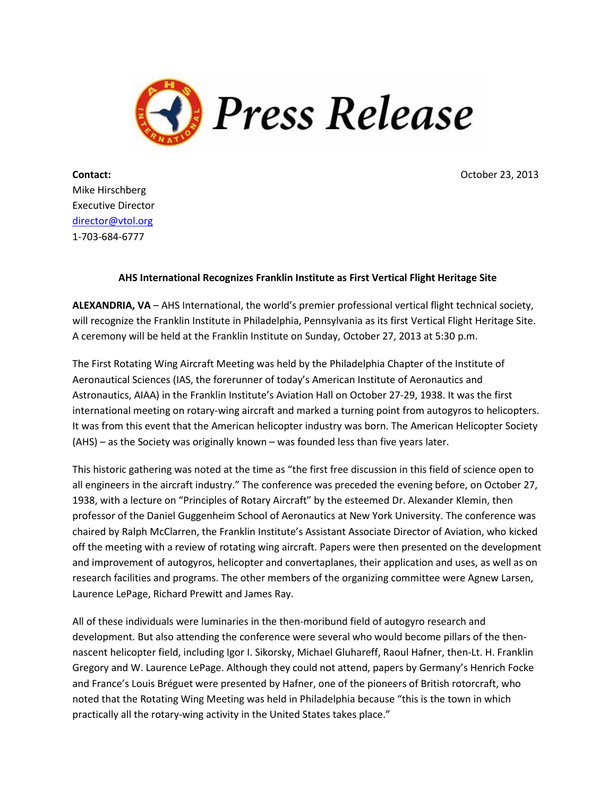

**Contact: Contact: Contact: Contact: Contact: Contact: Contact: Contact: Contact: CONTACT: CONTACT: CONTACT: CONTACT: CONTACT: CONTACT: CONTACT: CONTACT: CONTACT: CONTACT: CONTACT: C** Mike Hirschberg Executive Director [director@vtol.org](mailto:director@vtol.org) 1-703-684-6777

## **AHS International Recognizes Franklin Institute as First Vertical Flight Heritage Site**

**ALEXANDRIA, VA** – AHS International, the world's premier professional vertical flight technical society, will recognize the Franklin Institute in Philadelphia, Pennsylvania as its first Vertical Flight Heritage Site. A ceremony will be held at the Franklin Institute on Sunday, October 27, 2013 at 5:30 p.m.

The First Rotating Wing Aircraft Meeting was held by the Philadelphia Chapter of the Institute of Aeronautical Sciences (IAS, the forerunner of today's American Institute of Aeronautics and Astronautics, AIAA) in the Franklin Institute's Aviation Hall on October 27-29, 1938. It was the first international meeting on rotary-wing aircraft and marked a turning point from autogyros to helicopters. It was from this event that the American helicopter industry was born. The American Helicopter Society (AHS) – as the Society was originally known – was founded less than five years later.

This historic gathering was noted at the time as "the first free discussion in this field of science open to all engineers in the aircraft industry." The conference was preceded the evening before, on October 27, 1938, with a lecture on "Principles of Rotary Aircraft" by the esteemed Dr. Alexander Klemin, then professor of the Daniel Guggenheim School of Aeronautics at New York University. The conference was chaired by Ralph McClarren, the Franklin Institute's Assistant Associate Director of Aviation, who kicked off the meeting with a review of rotating wing aircraft. Papers were then presented on the development and improvement of autogyros, helicopter and convertaplanes, their application and uses, as well as on research facilities and programs. The other members of the organizing committee were Agnew Larsen, Laurence LePage, Richard Prewitt and James Ray.

All of these individuals were luminaries in the then-moribund field of autogyro research and development. But also attending the conference were several who would become pillars of the thennascent helicopter field, including Igor I. Sikorsky, Michael Gluhareff, Raoul Hafner, then-Lt. H. Franklin Gregory and W. Laurence LePage. Although they could not attend, papers by Germany's Henrich Focke and France's Louis Bréguet were presented by Hafner, one of the pioneers of British rotorcraft, who noted that the Rotating Wing Meeting was held in Philadelphia because "this is the town in which practically all the rotary-wing activity in the United States takes place."